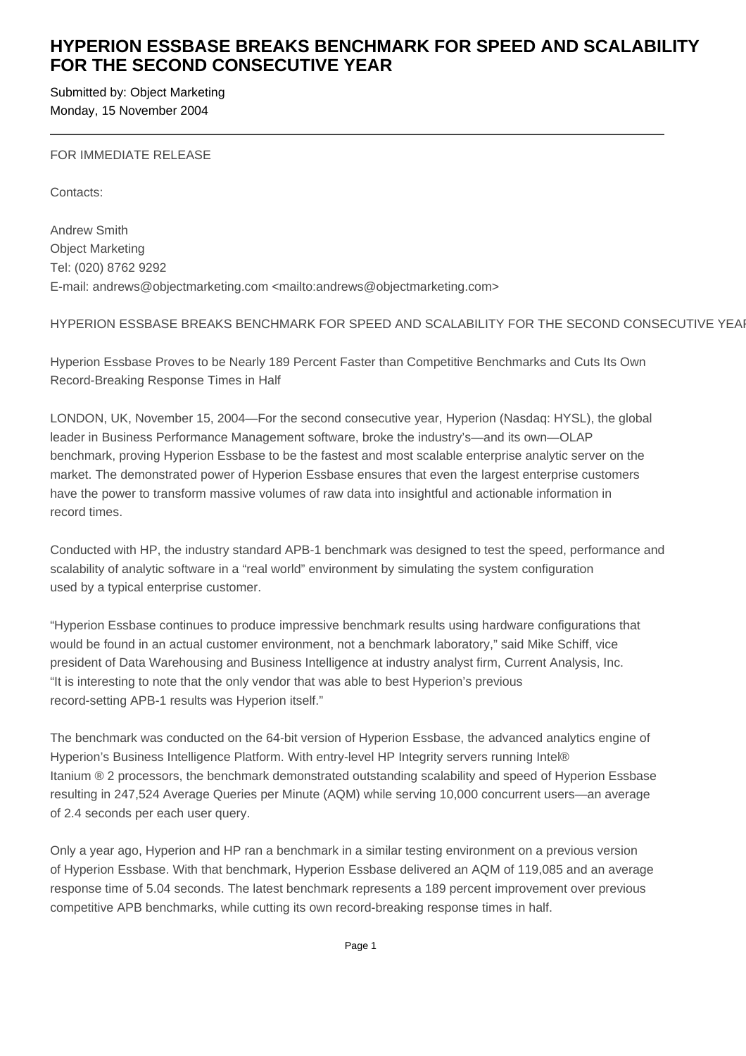# **HYPERION ESSBASE BREAKS BENCHMARK FOR SPEED AND SCALABILITY FOR THE SECOND CONSECUTIVE YEAR**

Submitted by: Object Marketing Monday, 15 November 2004

FOR IMMEDIATE RELEASE

Contacts:

Andrew Smith Object Marketing Tel: (020) 8762 9292 E-mail: andrews@objectmarketing.com <mailto:andrews@objectmarketing.com>

# HYPERION ESSBASE BREAKS BENCHMARK FOR SPEED AND SCALABILITY FOR THE SECOND CONSECUTIVE YEAR

Hyperion Essbase Proves to be Nearly 189 Percent Faster than Competitive Benchmarks and Cuts Its Own Record-Breaking Response Times in Half

LONDON, UK, November 15, 2004—For the second consecutive year, Hyperion (Nasdaq: HYSL), the global leader in Business Performance Management software, broke the industry's—and its own—OLAP benchmark, proving Hyperion Essbase to be the fastest and most scalable enterprise analytic server on the market. The demonstrated power of Hyperion Essbase ensures that even the largest enterprise customers have the power to transform massive volumes of raw data into insightful and actionable information in record times.

Conducted with HP, the industry standard APB-1 benchmark was designed to test the speed, performance and scalability of analytic software in a "real world" environment by simulating the system configuration used by a typical enterprise customer.

"Hyperion Essbase continues to produce impressive benchmark results using hardware configurations that would be found in an actual customer environment, not a benchmark laboratory," said Mike Schiff, vice president of Data Warehousing and Business Intelligence at industry analyst firm, Current Analysis, Inc. "It is interesting to note that the only vendor that was able to best Hyperion's previous record-setting APB-1 results was Hyperion itself."

The benchmark was conducted on the 64-bit version of Hyperion Essbase, the advanced analytics engine of Hyperion's Business Intelligence Platform. With entry-level HP Integrity servers running Intel® Itanium ® 2 processors, the benchmark demonstrated outstanding scalability and speed of Hyperion Essbase resulting in 247,524 Average Queries per Minute (AQM) while serving 10,000 concurrent users—an average of 2.4 seconds per each user query.

Only a year ago, Hyperion and HP ran a benchmark in a similar testing environment on a previous version of Hyperion Essbase. With that benchmark, Hyperion Essbase delivered an AQM of 119,085 and an average response time of 5.04 seconds. The latest benchmark represents a 189 percent improvement over previous competitive APB benchmarks, while cutting its own record-breaking response times in half.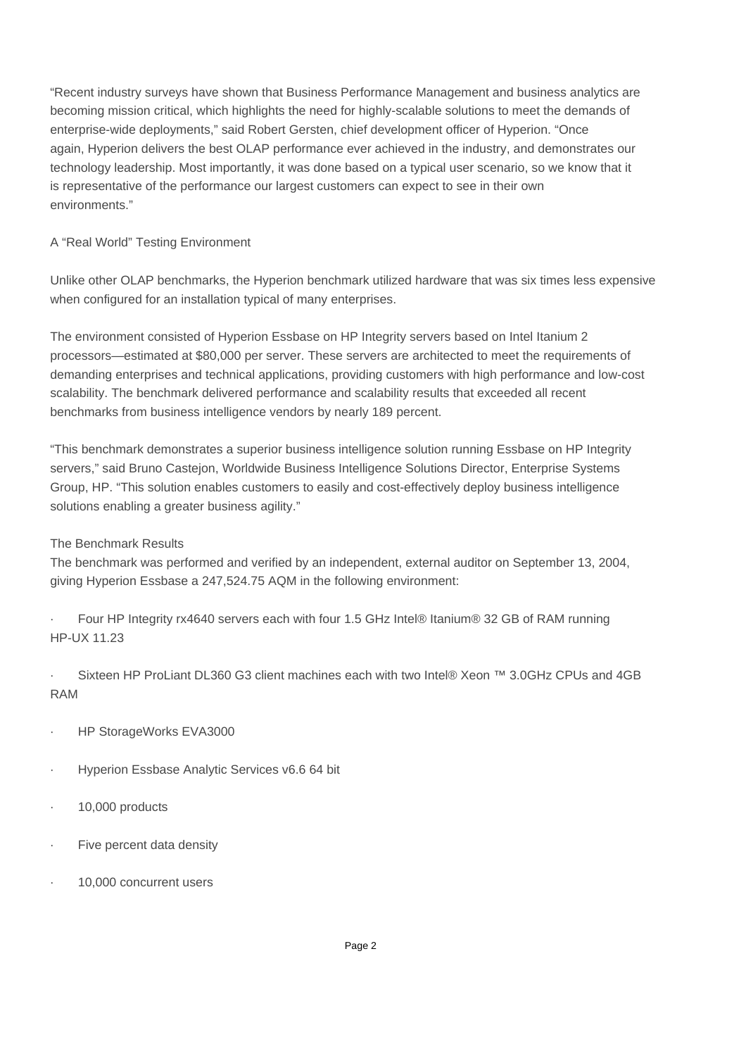"Recent industry surveys have shown that Business Performance Management and business analytics are becoming mission critical, which highlights the need for highly-scalable solutions to meet the demands of enterprise-wide deployments," said Robert Gersten, chief development officer of Hyperion. "Once again, Hyperion delivers the best OLAP performance ever achieved in the industry, and demonstrates our technology leadership. Most importantly, it was done based on a typical user scenario, so we know that it is representative of the performance our largest customers can expect to see in their own environments."

# A "Real World" Testing Environment

Unlike other OLAP benchmarks, the Hyperion benchmark utilized hardware that was six times less expensive when configured for an installation typical of many enterprises.

The environment consisted of Hyperion Essbase on HP Integrity servers based on Intel Itanium 2 processors—estimated at \$80,000 per server. These servers are architected to meet the requirements of demanding enterprises and technical applications, providing customers with high performance and low-cost scalability. The benchmark delivered performance and scalability results that exceeded all recent benchmarks from business intelligence vendors by nearly 189 percent.

"This benchmark demonstrates a superior business intelligence solution running Essbase on HP Integrity servers," said Bruno Castejon, Worldwide Business Intelligence Solutions Director, Enterprise Systems Group, HP. "This solution enables customers to easily and cost-effectively deploy business intelligence solutions enabling a greater business agility."

## The Benchmark Results

The benchmark was performed and verified by an independent, external auditor on September 13, 2004, giving Hyperion Essbase a 247,524.75 AQM in the following environment:

· Four HP Integrity rx4640 servers each with four 1.5 GHz Intel® Itanium® 32 GB of RAM running HP-UX 11.23

· Sixteen HP ProLiant DL360 G3 client machines each with two Intel® Xeon ™ 3.0GHz CPUs and 4GB RAM

- HP StorageWorks EVA3000
- Hyperion Essbase Analytic Services v6.6 64 bit
- · 10,000 products
- Five percent data density
- 10,000 concurrent users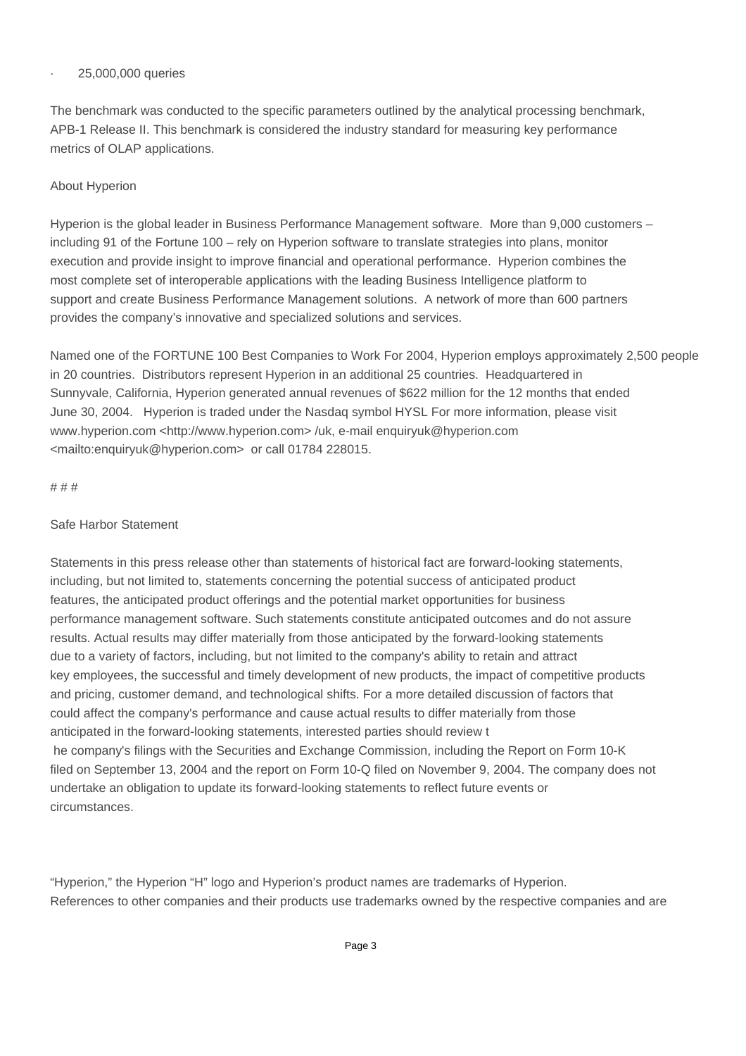#### · 25,000,000 queries

The benchmark was conducted to the specific parameters outlined by the analytical processing benchmark, APB-1 Release II. This benchmark is considered the industry standard for measuring key performance metrics of OLAP applications.

# About Hyperion

Hyperion is the global leader in Business Performance Management software. More than 9,000 customers – including 91 of the Fortune 100 – rely on Hyperion software to translate strategies into plans, monitor execution and provide insight to improve financial and operational performance. Hyperion combines the most complete set of interoperable applications with the leading Business Intelligence platform to support and create Business Performance Management solutions. A network of more than 600 partners provides the company's innovative and specialized solutions and services.

Named one of the FORTUNE 100 Best Companies to Work For 2004, Hyperion employs approximately 2,500 people in 20 countries. Distributors represent Hyperion in an additional 25 countries. Headquartered in Sunnyvale, California, Hyperion generated annual revenues of \$622 million for the 12 months that ended June 30, 2004. Hyperion is traded under the Nasdaq symbol HYSL For more information, please visit www.hyperion.com <http://www.hyperion.com> /uk, e-mail enquiryuk@hyperion.com <mailto:enquiryuk@hyperion.com> or call 01784 228015.

#### # # #

## Safe Harbor Statement

Statements in this press release other than statements of historical fact are forward-looking statements, including, but not limited to, statements concerning the potential success of anticipated product features, the anticipated product offerings and the potential market opportunities for business performance management software. Such statements constitute anticipated outcomes and do not assure results. Actual results may differ materially from those anticipated by the forward-looking statements due to a variety of factors, including, but not limited to the company's ability to retain and attract key employees, the successful and timely development of new products, the impact of competitive products and pricing, customer demand, and technological shifts. For a more detailed discussion of factors that could affect the company's performance and cause actual results to differ materially from those anticipated in the forward-looking statements, interested parties should review t he company's filings with the Securities and Exchange Commission, including the Report on Form 10-K filed on September 13, 2004 and the report on Form 10-Q filed on November 9, 2004. The company does not undertake an obligation to update its forward-looking statements to reflect future events or circumstances.

"Hyperion," the Hyperion "H" logo and Hyperion's product names are trademarks of Hyperion. References to other companies and their products use trademarks owned by the respective companies and are